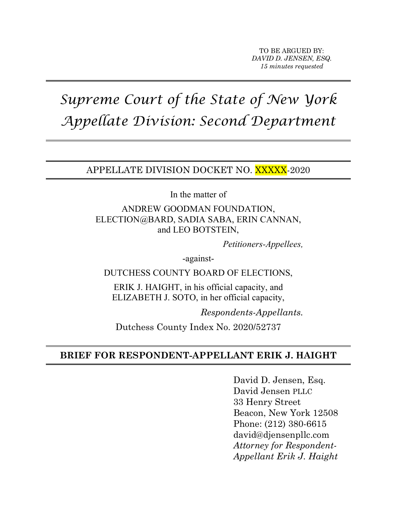# *Supreme Court of the State of New York Appellate Division: Second Department*

APPELLATE DIVISION DOCKET NO. XXXXX-2020

In the matter of

ANDREW GOODMAN FOUNDATION, ELECTION@BARD, SADIA SABA, ERIN CANNAN, and LEO BOTSTEIN,

*Petitioners-Appellees,*

-against-

DUTCHESS COUNTY BOARD OF ELECTIONS,

ERIK J. HAIGHT, in his official capacity, and ELIZABETH J. SOTO, in her official capacity,

*Respondents-Appellants.*

Dutchess County Index No. 2020/52737

### **BRIEF FOR RESPONDENT-APPELLANT ERIK J. HAIGHT**

David D. Jensen, Esq. David Jensen PLLC 33 Henry Street Beacon, New York 12508 Phone: (212) 380-6615 david@djensenpllc.com *Attorney for Respondent-Appellant Erik J. Haight*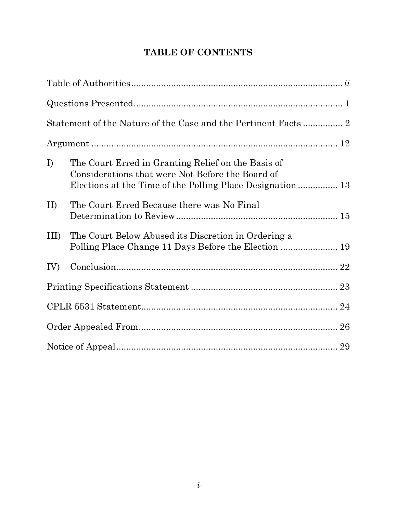## **TABLE OF CONTENTS**

| $\bf{I}$   | The Court Erred in Granting Relief on the Basis of<br>Considerations that were Not Before the Board of<br>Elections at the Time of the Polling Place Designation  13 |  |
|------------|----------------------------------------------------------------------------------------------------------------------------------------------------------------------|--|
| II         | The Court Erred Because there was No Final                                                                                                                           |  |
| $\rm{III}$ | The Court Below Abused its Discretion in Ordering a<br>Polling Place Change 11 Days Before the Election  19                                                          |  |
| IV)        |                                                                                                                                                                      |  |
|            |                                                                                                                                                                      |  |
|            |                                                                                                                                                                      |  |
|            |                                                                                                                                                                      |  |
|            |                                                                                                                                                                      |  |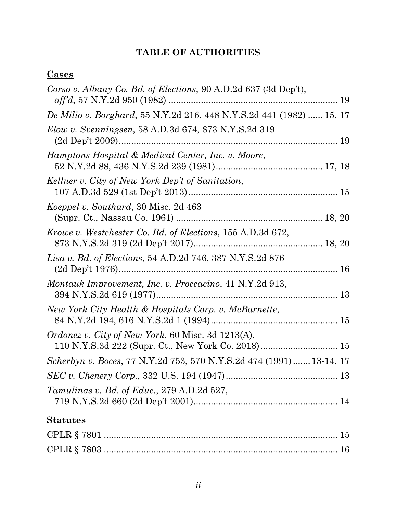# **TABLE OF AUTHORITIES**

## **Cases**

| Corso v. Albany Co. Bd. of Elections, 90 A.D.2d 637 (3d Dep't),                                                |  |
|----------------------------------------------------------------------------------------------------------------|--|
| De Milio v. Borghard, 55 N.Y.2d 216, 448 N.Y.S.2d 441 (1982)  15, 17                                           |  |
| <i>Elow v. Svenningsen,</i> 58 A.D.3d 674, 873 N.Y.S.2d 319                                                    |  |
| Hamptons Hospital & Medical Center, Inc. v. Moore,                                                             |  |
| Kellner v. City of New York Dep't of Sanitation,                                                               |  |
| Koeppel v. Southard, 30 Misc. 2d 463                                                                           |  |
| Krowe v. Westchester Co. Bd. of Elections, 155 A.D.3d 672,                                                     |  |
| Lisa v. Bd. of Elections, 54 A.D.2d 746, 387 N.Y.S.2d 876                                                      |  |
| Montauk Improvement, Inc. v. Proccacino, 41 N.Y.2d 913,                                                        |  |
| New York City Health & Hospitals Corp. v. McBarnette,                                                          |  |
| <i>Ordonez v. City of New York, 60 Misc. 3d 1213(A),</i><br>110 N.Y.S.3d 222 (Supr. Ct., New York Co. 2018) 15 |  |
| Scherbyn v. Boces, 77 N.Y.2d 753, 570 N.Y.S.2d 474 (1991)  13-14, 17                                           |  |
|                                                                                                                |  |
| Tamulinas v. Bd. of Educ., 279 A.D.2d 527,                                                                     |  |
| <b>Statutes</b>                                                                                                |  |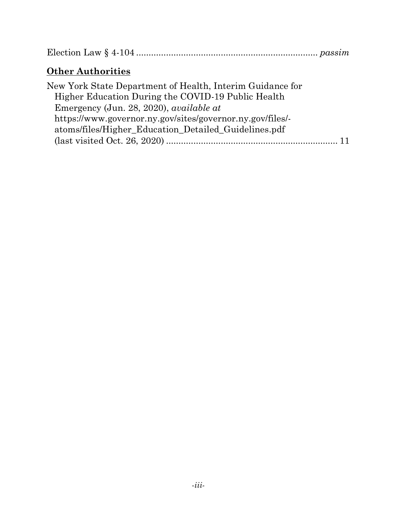Election Law § 4-104 ......................................................................... *passim*

## **Other Authorities**

| New York State Department of Health, Interim Guidance for |  |
|-----------------------------------------------------------|--|
| Higher Education During the COVID-19 Public Health        |  |
| Emergency (Jun. 28, 2020), <i>available at</i>            |  |
| https://www.governor.ny.gov/sites/governor.ny.gov/files/- |  |
| atoms/files/Higher Education Detailed Guidelines.pdf      |  |
|                                                           |  |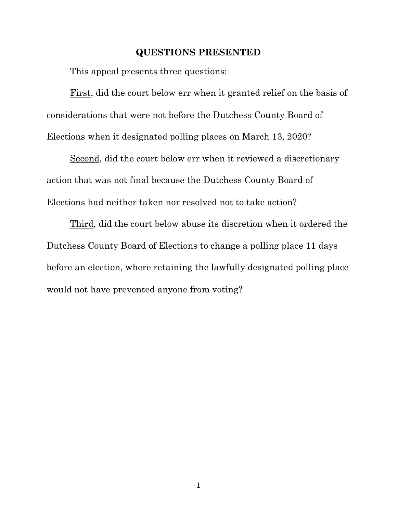#### **QUESTIONS PRESENTED**

This appeal presents three questions:

First, did the court below err when it granted relief on the basis of considerations that were not before the Dutchess County Board of Elections when it designated polling places on March 13, 2020?

Second, did the court below err when it reviewed a discretionary action that was not final because the Dutchess County Board of Elections had neither taken nor resolved not to take action?

Third, did the court below abuse its discretion when it ordered the Dutchess County Board of Elections to change a polling place 11 days before an election, where retaining the lawfully designated polling place would not have prevented anyone from voting?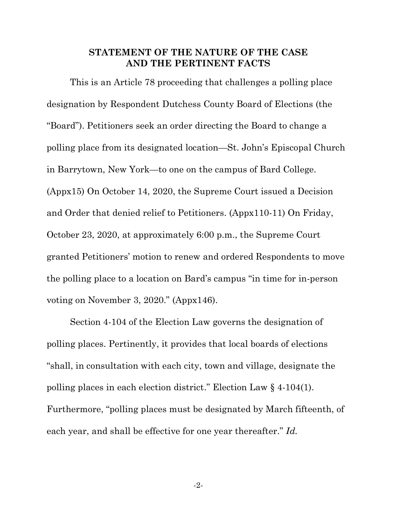#### **STATEMENT OF THE NATURE OF THE CASE AND THE PERTINENT FACTS**

This is an Article 78 proceeding that challenges a polling place designation by Respondent Dutchess County Board of Elections (the "Board"). Petitioners seek an order directing the Board to change a polling place from its designated location—St. John's Episcopal Church in Barrytown, New York—to one on the campus of Bard College. (Appx15) On October 14, 2020, the Supreme Court issued a Decision and Order that denied relief to Petitioners. (Appx110-11) On Friday, October 23, 2020, at approximately 6:00 p.m., the Supreme Court granted Petitioners' motion to renew and ordered Respondents to move the polling place to a location on Bard's campus "in time for in-person voting on November 3, 2020." (Appx146).

Section 4-104 of the Election Law governs the designation of polling places. Pertinently, it provides that local boards of elections "shall, in consultation with each city, town and village, designate the polling places in each election district." Election Law § 4-104(1). Furthermore, "polling places must be designated by March fifteenth, of each year, and shall be effective for one year thereafter." *Id.*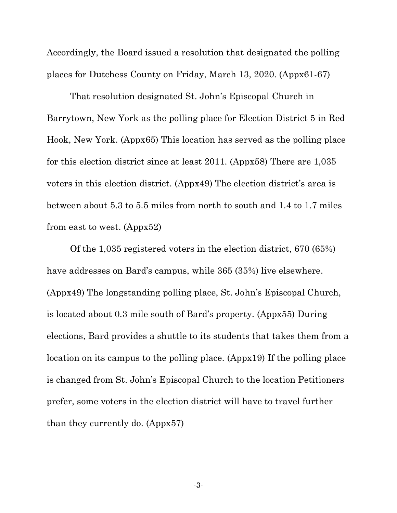Accordingly, the Board issued a resolution that designated the polling places for Dutchess County on Friday, March 13, 2020. (Appx61-67)

That resolution designated St. John's Episcopal Church in Barrytown, New York as the polling place for Election District 5 in Red Hook, New York. (Appx65) This location has served as the polling place for this election district since at least 2011. (Appx58) There are 1,035 voters in this election district. (Appx49) The election district's area is between about 5.3 to 5.5 miles from north to south and 1.4 to 1.7 miles from east to west. (Appx52)

Of the 1,035 registered voters in the election district, 670 (65%) have addresses on Bard's campus, while 365 (35%) live elsewhere. (Appx49) The longstanding polling place, St. John's Episcopal Church, is located about 0.3 mile south of Bard's property. (Appx55) During elections, Bard provides a shuttle to its students that takes them from a location on its campus to the polling place. (Appx19) If the polling place is changed from St. John's Episcopal Church to the location Petitioners prefer, some voters in the election district will have to travel further than they currently do. (Appx57)

-3-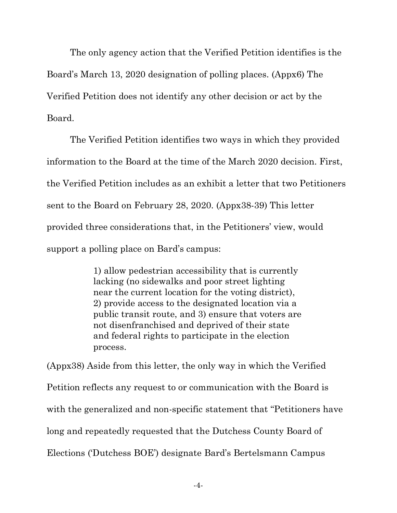The only agency action that the Verified Petition identifies is the Board's March 13, 2020 designation of polling places. (Appx6) The Verified Petition does not identify any other decision or act by the Board.

The Verified Petition identifies two ways in which they provided information to the Board at the time of the March 2020 decision. First, the Verified Petition includes as an exhibit a letter that two Petitioners sent to the Board on February 28, 2020. (Appx38-39) This letter provided three considerations that, in the Petitioners' view, would support a polling place on Bard's campus:

> 1) allow pedestrian accessibility that is currently lacking (no sidewalks and poor street lighting near the current location for the voting district), 2) provide access to the designated location via a public transit route, and 3) ensure that voters are not disenfranchised and deprived of their state and federal rights to participate in the election process.

(Appx38) Aside from this letter, the only way in which the Verified Petition reflects any request to or communication with the Board is with the generalized and non-specific statement that "Petitioners have long and repeatedly requested that the Dutchess County Board of Elections ('Dutchess BOE') designate Bard's Bertelsmann Campus

-4-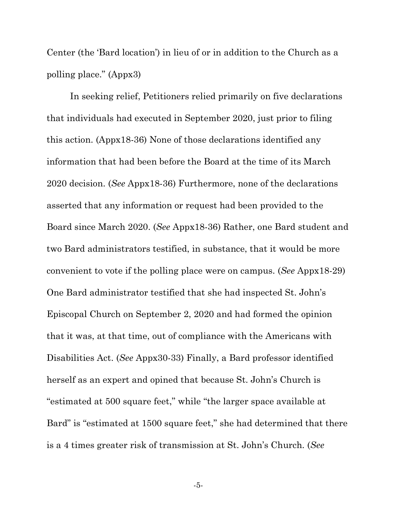Center (the 'Bard location') in lieu of or in addition to the Church as a polling place." (Appx3)

In seeking relief, Petitioners relied primarily on five declarations that individuals had executed in September 2020, just prior to filing this action. (Appx18-36) None of those declarations identified any information that had been before the Board at the time of its March 2020 decision. (*See* Appx18-36) Furthermore, none of the declarations asserted that any information or request had been provided to the Board since March 2020. (*See* Appx18-36) Rather, one Bard student and two Bard administrators testified, in substance, that it would be more convenient to vote if the polling place were on campus. (*See* Appx18-29) One Bard administrator testified that she had inspected St. John's Episcopal Church on September 2, 2020 and had formed the opinion that it was, at that time, out of compliance with the Americans with Disabilities Act. (*See* Appx30-33) Finally, a Bard professor identified herself as an expert and opined that because St. John's Church is "estimated at 500 square feet," while "the larger space available at Bard" is "estimated at 1500 square feet," she had determined that there is a 4 times greater risk of transmission at St. John's Church. (*See*

-5-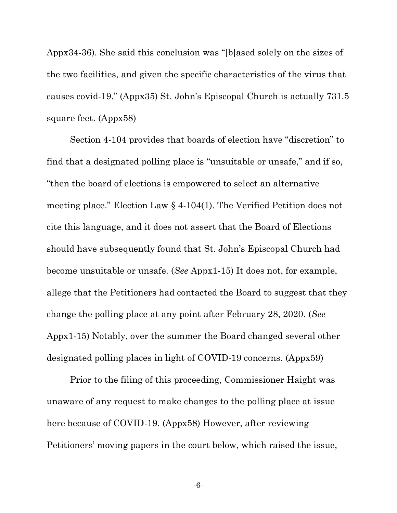Appx34-36). She said this conclusion was "[b]ased solely on the sizes of the two facilities, and given the specific characteristics of the virus that causes covid-19." (Appx35) St. John's Episcopal Church is actually 731.5 square feet. (Appx58)

Section 4-104 provides that boards of election have "discretion" to find that a designated polling place is "unsuitable or unsafe," and if so, "then the board of elections is empowered to select an alternative meeting place." Election Law § 4-104(1). The Verified Petition does not cite this language, and it does not assert that the Board of Elections should have subsequently found that St. John's Episcopal Church had become unsuitable or unsafe. (*See* Appx1-15) It does not, for example, allege that the Petitioners had contacted the Board to suggest that they change the polling place at any point after February 28, 2020. (*See*  Appx1-15) Notably, over the summer the Board changed several other designated polling places in light of COVID-19 concerns. (Appx59)

Prior to the filing of this proceeding, Commissioner Haight was unaware of any request to make changes to the polling place at issue here because of COVID-19. (Appx58) However, after reviewing Petitioners' moving papers in the court below, which raised the issue,

-6-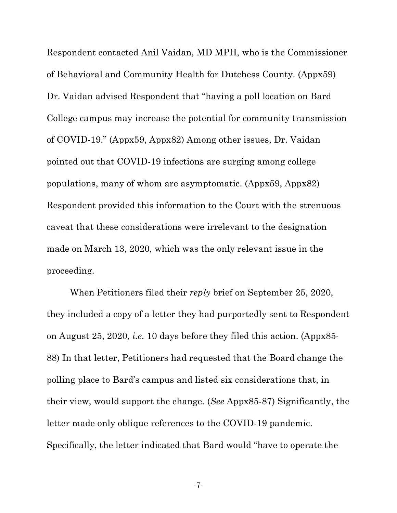Respondent contacted Anil Vaidan, MD MPH, who is the Commissioner of Behavioral and Community Health for Dutchess County. (Appx59) Dr. Vaidan advised Respondent that "having a poll location on Bard College campus may increase the potential for community transmission of COVID-19." (Appx59, Appx82) Among other issues, Dr. Vaidan pointed out that COVID-19 infections are surging among college populations, many of whom are asymptomatic. (Appx59, Appx82) Respondent provided this information to the Court with the strenuous caveat that these considerations were irrelevant to the designation made on March 13, 2020, which was the only relevant issue in the proceeding.

When Petitioners filed their *reply* brief on September 25, 2020, they included a copy of a letter they had purportedly sent to Respondent on August 25, 2020, *i.e.* 10 days before they filed this action. (Appx85- 88) In that letter, Petitioners had requested that the Board change the polling place to Bard's campus and listed six considerations that, in their view, would support the change. (*See* Appx85-87) Significantly, the letter made only oblique references to the COVID-19 pandemic. Specifically, the letter indicated that Bard would "have to operate the

-7-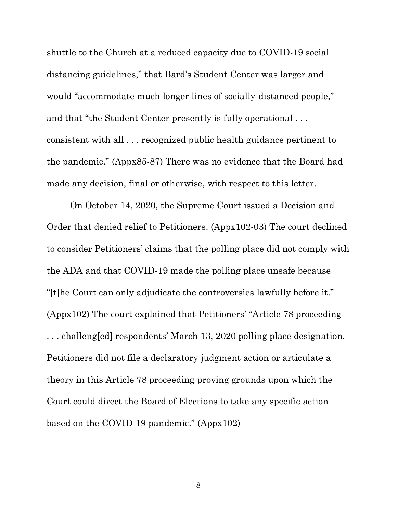shuttle to the Church at a reduced capacity due to COVID-19 social distancing guidelines," that Bard's Student Center was larger and would "accommodate much longer lines of socially-distanced people," and that "the Student Center presently is fully operational . . . consistent with all . . . recognized public health guidance pertinent to the pandemic." (Appx85-87) There was no evidence that the Board had made any decision, final or otherwise, with respect to this letter.

On October 14, 2020, the Supreme Court issued a Decision and Order that denied relief to Petitioners. (Appx102-03) The court declined to consider Petitioners' claims that the polling place did not comply with the ADA and that COVID-19 made the polling place unsafe because "[t]he Court can only adjudicate the controversies lawfully before it." (Appx102) The court explained that Petitioners' "Article 78 proceeding . . . challeng[ed] respondents' March 13, 2020 polling place designation. Petitioners did not file a declaratory judgment action or articulate a theory in this Article 78 proceeding proving grounds upon which the Court could direct the Board of Elections to take any specific action based on the COVID-19 pandemic." (Appx102)

-8-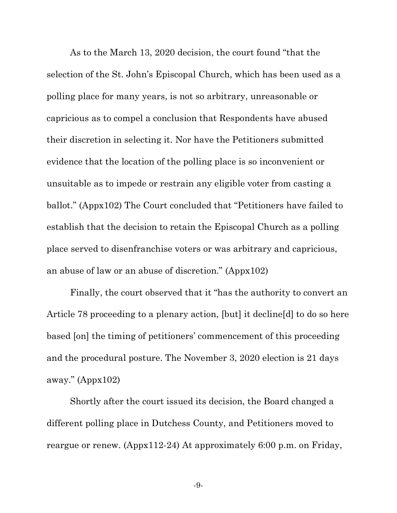As to the March 13, 2020 decision, the court found "that the selection of the St. John's Episcopal Church, which has been used as a polling place for many years, is not so arbitrary, unreasonable or capricious as to compel a conclusion that Respondents have abused their discretion in selecting it. Nor have the Petitioners submitted evidence that the location of the polling place is so inconvenient or unsuitable as to impede or restrain any eligible voter from casting a ballot." (Appx102) The Court concluded that "Petitioners have failed to establish that the decision to retain the Episcopal Church as a polling place served to disenfranchise voters or was arbitrary and capricious, an abuse of law or an abuse of discretion." (Appx102)

Finally, the court observed that it "has the authority to convert an Article 78 proceeding to a plenary action, [but] it decline[d] to do so here based [on] the timing of petitioners' commencement of this proceeding and the procedural posture. The November 3, 2020 election is 21 days away." (Appx102)

Shortly after the court issued its decision, the Board changed a different polling place in Dutchess County, and Petitioners moved to reargue or renew. (Appx112-24) At approximately 6:00 p.m. on Friday,

-9-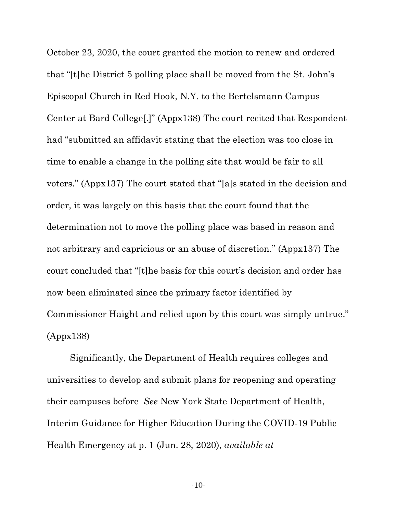October 23, 2020, the court granted the motion to renew and ordered that "[t]he District 5 polling place shall be moved from the St. John's Episcopal Church in Red Hook, N.Y. to the Bertelsmann Campus Center at Bard College[.]" (Appx138) The court recited that Respondent had "submitted an affidavit stating that the election was too close in time to enable a change in the polling site that would be fair to all voters." (Appx137) The court stated that "[a]s stated in the decision and order, it was largely on this basis that the court found that the determination not to move the polling place was based in reason and not arbitrary and capricious or an abuse of discretion." (Appx137) The court concluded that "[t]he basis for this court's decision and order has now been eliminated since the primary factor identified by Commissioner Haight and relied upon by this court was simply untrue." (Appx138)

Significantly, the Department of Health requires colleges and universities to develop and submit plans for reopening and operating their campuses before *See* New York State Department of Health, Interim Guidance for Higher Education During the COVID-19 Public Health Emergency at p. 1 (Jun. 28, 2020), *available at*

-10-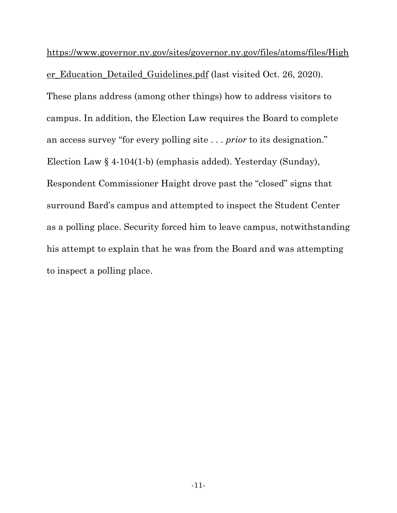https://www.governor.ny.gov/sites/governor.ny.gov/files/atoms/files/High er\_Education\_Detailed\_Guidelines.pdf (last visited Oct. 26, 2020). These plans address (among other things) how to address visitors to campus. In addition, the Election Law requires the Board to complete an access survey "for every polling site . . . *prior* to its designation." Election Law § 4-104(1-b) (emphasis added). Yesterday (Sunday), Respondent Commissioner Haight drove past the "closed" signs that surround Bard's campus and attempted to inspect the Student Center as a polling place. Security forced him to leave campus, notwithstanding his attempt to explain that he was from the Board and was attempting to inspect a polling place.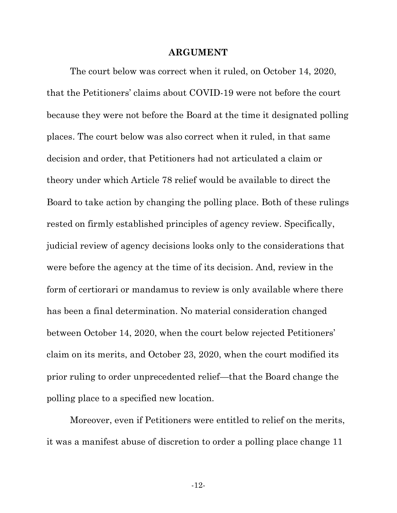#### **ARGUMENT**

The court below was correct when it ruled, on October 14, 2020, that the Petitioners' claims about COVID-19 were not before the court because they were not before the Board at the time it designated polling places. The court below was also correct when it ruled, in that same decision and order, that Petitioners had not articulated a claim or theory under which Article 78 relief would be available to direct the Board to take action by changing the polling place. Both of these rulings rested on firmly established principles of agency review. Specifically, judicial review of agency decisions looks only to the considerations that were before the agency at the time of its decision. And, review in the form of certiorari or mandamus to review is only available where there has been a final determination. No material consideration changed between October 14, 2020, when the court below rejected Petitioners' claim on its merits, and October 23, 2020, when the court modified its prior ruling to order unprecedented relief—that the Board change the polling place to a specified new location.

Moreover, even if Petitioners were entitled to relief on the merits, it was a manifest abuse of discretion to order a polling place change 11

-12-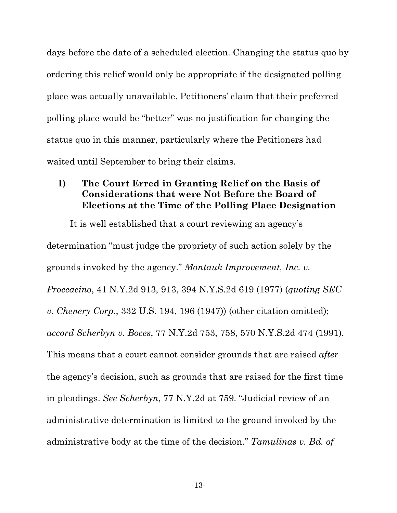days before the date of a scheduled election. Changing the status quo by ordering this relief would only be appropriate if the designated polling place was actually unavailable. Petitioners' claim that their preferred polling place would be "better" was no justification for changing the status quo in this manner, particularly where the Petitioners had waited until September to bring their claims.

#### **I) The Court Erred in Granting Relief on the Basis of Considerations that were Not Before the Board of Elections at the Time of the Polling Place Designation**

It is well established that a court reviewing an agency's determination "must judge the propriety of such action solely by the grounds invoked by the agency." *Montauk Improvement, Inc. v. Proccacino*, 41 N.Y.2d 913, 913, 394 N.Y.S.2d 619 (1977) (*quoting SEC v. Chenery Corp.*, 332 U.S. 194, 196 (1947)) (other citation omitted); *accord Scherbyn v. Boces*, 77 N.Y.2d 753, 758, 570 N.Y.S.2d 474 (1991). This means that a court cannot consider grounds that are raised *after* the agency's decision, such as grounds that are raised for the first time in pleadings. *See Scherbyn*, 77 N.Y.2d at 759. "Judicial review of an administrative determination is limited to the ground invoked by the administrative body at the time of the decision." *Tamulinas v. Bd. of*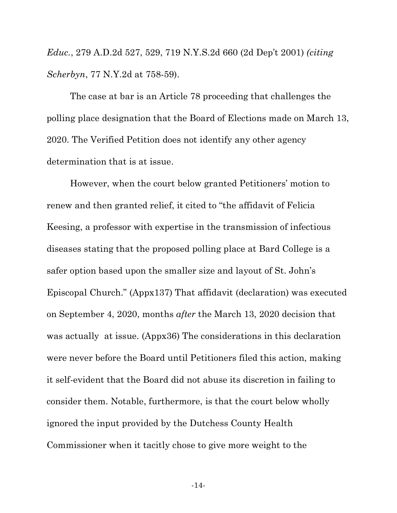*Educ.*, 279 A.D.2d 527, 529, 719 N.Y.S.2d 660 (2d Dep't 2001) *(citing Scherbyn*, 77 N.Y.2d at 758-59).

The case at bar is an Article 78 proceeding that challenges the polling place designation that the Board of Elections made on March 13, 2020. The Verified Petition does not identify any other agency determination that is at issue.

However, when the court below granted Petitioners' motion to renew and then granted relief, it cited to "the affidavit of Felicia Keesing, a professor with expertise in the transmission of infectious diseases stating that the proposed polling place at Bard College is a safer option based upon the smaller size and layout of St. John's Episcopal Church." (Appx137) That affidavit (declaration) was executed on September 4, 2020, months *after* the March 13, 2020 decision that was actually at issue. (Appx36) The considerations in this declaration were never before the Board until Petitioners filed this action, making it self-evident that the Board did not abuse its discretion in failing to consider them. Notable, furthermore, is that the court below wholly ignored the input provided by the Dutchess County Health Commissioner when it tacitly chose to give more weight to the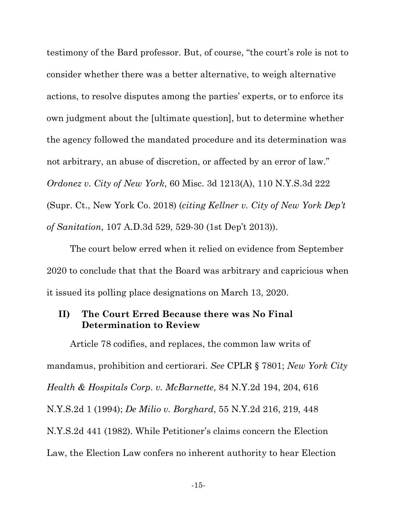testimony of the Bard professor. But, of course, "the court's role is not to consider whether there was a better alternative, to weigh alternative actions, to resolve disputes among the parties' experts, or to enforce its own judgment about the [ultimate question], but to determine whether the agency followed the mandated procedure and its determination was not arbitrary, an abuse of discretion, or affected by an error of law." *Ordonez v. City of New York*, 60 Misc. 3d 1213(A), 110 N.Y.S.3d 222 (Supr. Ct., New York Co. 2018) (*citing Kellner v. City of New York Dep't of Sanitation*, 107 A.D.3d 529, 529-30 (1st Dep't 2013)).

The court below erred when it relied on evidence from September 2020 to conclude that that the Board was arbitrary and capricious when it issued its polling place designations on March 13, 2020.

#### **II) The Court Erred Because there was No Final Determination to Review**

Article 78 codifies, and replaces, the common law writs of mandamus, prohibition and certiorari. *See* CPLR § 7801; *New York City Health & Hospitals Corp. v. McBarnette*, 84 N.Y.2d 194, 204, 616 N.Y.S.2d 1 (1994); *De Milio v. Borghard*, 55 N.Y.2d 216, 219, 448 N.Y.S.2d 441 (1982). While Petitioner's claims concern the Election Law, the Election Law confers no inherent authority to hear Election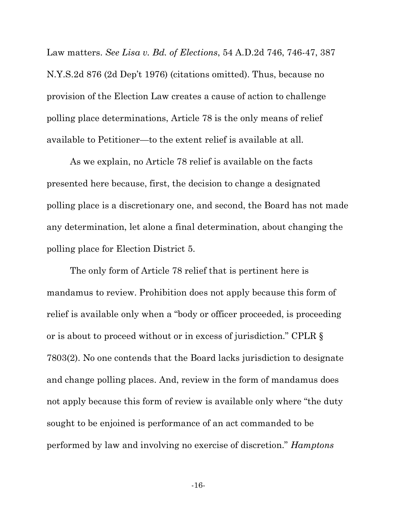Law matters. *See Lisa v. Bd. of Elections*, 54 A.D.2d 746, 746-47, 387 N.Y.S.2d 876 (2d Dep't 1976) (citations omitted). Thus, because no provision of the Election Law creates a cause of action to challenge polling place determinations, Article 78 is the only means of relief available to Petitioner—to the extent relief is available at all.

As we explain, no Article 78 relief is available on the facts presented here because, first, the decision to change a designated polling place is a discretionary one, and second, the Board has not made any determination, let alone a final determination, about changing the polling place for Election District 5.

The only form of Article 78 relief that is pertinent here is mandamus to review. Prohibition does not apply because this form of relief is available only when a "body or officer proceeded, is proceeding or is about to proceed without or in excess of jurisdiction." CPLR § 7803(2). No one contends that the Board lacks jurisdiction to designate and change polling places. And, review in the form of mandamus does not apply because this form of review is available only where "the duty sought to be enjoined is performance of an act commanded to be performed by law and involving no exercise of discretion." *Hamptons* 

-16-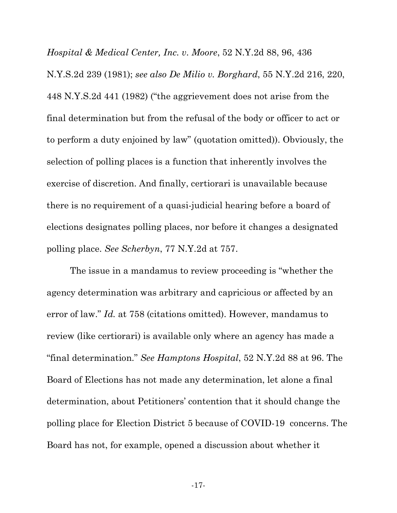*Hospital & Medical Center, Inc. v. Moore*, 52 N.Y.2d 88, 96, 436 N.Y.S.2d 239 (1981); *see also De Milio v. Borghard*, 55 N.Y.2d 216, 220, 448 N.Y.S.2d 441 (1982) ("the aggrievement does not arise from the final determination but from the refusal of the body or officer to act or to perform a duty enjoined by law" (quotation omitted)). Obviously, the selection of polling places is a function that inherently involves the exercise of discretion. And finally, certiorari is unavailable because there is no requirement of a quasi-judicial hearing before a board of elections designates polling places, nor before it changes a designated polling place. *See Scherbyn*, 77 N.Y.2d at 757.

The issue in a mandamus to review proceeding is "whether the agency determination was arbitrary and capricious or affected by an error of law." *Id.* at 758 (citations omitted). However, mandamus to review (like certiorari) is available only where an agency has made a "final determination." *See Hamptons Hospital*, 52 N.Y.2d 88 at 96. The Board of Elections has not made any determination, let alone a final determination, about Petitioners' contention that it should change the polling place for Election District 5 because of COVID-19 concerns. The Board has not, for example, opened a discussion about whether it

-17-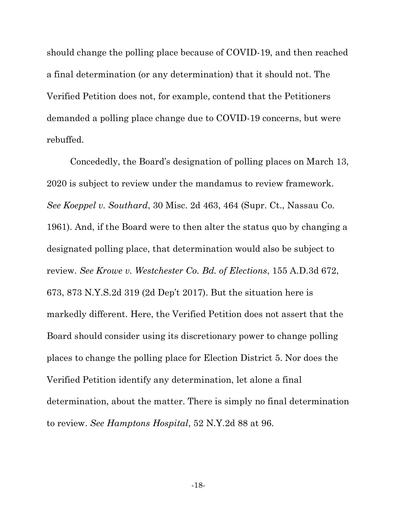should change the polling place because of COVID-19, and then reached a final determination (or any determination) that it should not. The Verified Petition does not, for example, contend that the Petitioners demanded a polling place change due to COVID-19 concerns, but were rebuffed.

Concededly, the Board's designation of polling places on March 13, 2020 is subject to review under the mandamus to review framework. *See Koeppel v. Southard*, 30 Misc. 2d 463, 464 (Supr. Ct., Nassau Co. 1961). And, if the Board were to then alter the status quo by changing a designated polling place, that determination would also be subject to review. *See Krowe v. Westchester Co. Bd. of Elections*, 155 A.D.3d 672, 673, 873 N.Y.S.2d 319 (2d Dep't 2017). But the situation here is markedly different. Here, the Verified Petition does not assert that the Board should consider using its discretionary power to change polling places to change the polling place for Election District 5. Nor does the Verified Petition identify any determination, let alone a final determination, about the matter. There is simply no final determination to review. *See Hamptons Hospital*, 52 N.Y.2d 88 at 96.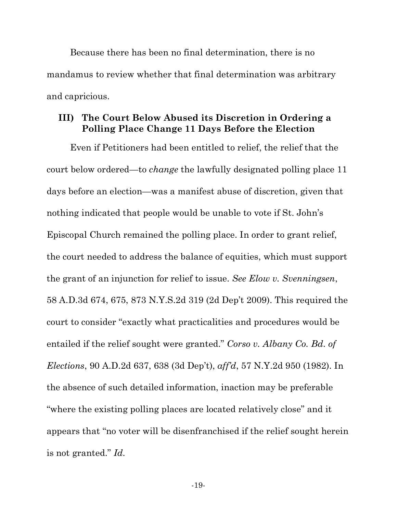Because there has been no final determination, there is no mandamus to review whether that final determination was arbitrary and capricious.

#### **III) The Court Below Abused its Discretion in Ordering a Polling Place Change 11 Days Before the Election**

Even if Petitioners had been entitled to relief, the relief that the court below ordered—to *change* the lawfully designated polling place 11 days before an election—was a manifest abuse of discretion, given that nothing indicated that people would be unable to vote if St. John's Episcopal Church remained the polling place. In order to grant relief, the court needed to address the balance of equities, which must support the grant of an injunction for relief to issue. *See Elow v. Svenningsen*, 58 A.D.3d 674, 675, 873 N.Y.S.2d 319 (2d Dep't 2009). This required the court to consider "exactly what practicalities and procedures would be entailed if the relief sought were granted." *Corso v. Albany Co. Bd. of Elections*, 90 A.D.2d 637, 638 (3d Dep't), *aff'd*, 57 N.Y.2d 950 (1982). In the absence of such detailed information, inaction may be preferable "where the existing polling places are located relatively close" and it appears that "no voter will be disenfranchised if the relief sought herein is not granted." *Id.*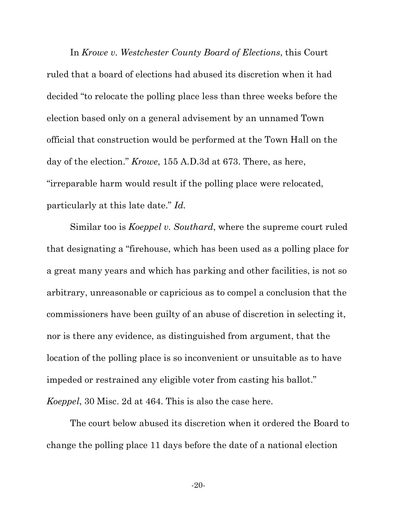In *Krowe v. Westchester County Board of Elections*, this Court ruled that a board of elections had abused its discretion when it had decided "to relocate the polling place less than three weeks before the election based only on a general advisement by an unnamed Town official that construction would be performed at the Town Hall on the day of the election." *Krowe*, 155 A.D.3d at 673. There, as here, "irreparable harm would result if the polling place were relocated, particularly at this late date." *Id.*

Similar too is *Koeppel v. Southard*, where the supreme court ruled that designating a "firehouse, which has been used as a polling place for a great many years and which has parking and other facilities, is not so arbitrary, unreasonable or capricious as to compel a conclusion that the commissioners have been guilty of an abuse of discretion in selecting it, nor is there any evidence, as distinguished from argument, that the location of the polling place is so inconvenient or unsuitable as to have impeded or restrained any eligible voter from casting his ballot." *Koeppel*, 30 Misc. 2d at 464. This is also the case here.

The court below abused its discretion when it ordered the Board to change the polling place 11 days before the date of a national election

-20-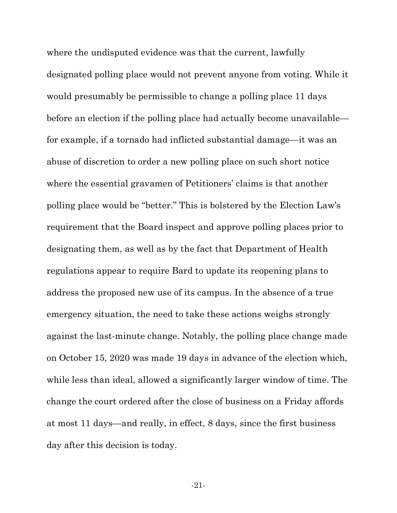where the undisputed evidence was that the current, lawfully designated polling place would not prevent anyone from voting. While it would presumably be permissible to change a polling place 11 days before an election if the polling place had actually become unavailable for example, if a tornado had inflicted substantial damage—it was an abuse of discretion to order a new polling place on such short notice where the essential gravamen of Petitioners' claims is that another polling place would be "better." This is bolstered by the Election Law's requirement that the Board inspect and approve polling places prior to designating them, as well as by the fact that Department of Health regulations appear to require Bard to update its reopening plans to address the proposed new use of its campus. In the absence of a true emergency situation, the need to take these actions weighs strongly against the last-minute change. Notably, the polling place change made on October 15, 2020 was made 19 days in advance of the election which, while less than ideal, allowed a significantly larger window of time. The change the court ordered after the close of business on a Friday affords at most 11 days—and really, in effect, 8 days, since the first business day after this decision is today.

-21-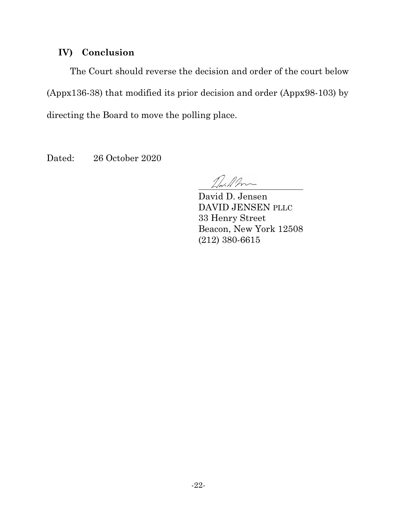## **IV) Conclusion**

The Court should reverse the decision and order of the court below (Appx136-38) that modified its prior decision and order (Appx98-103) by directing the Board to move the polling place.

Dated: 26 October 2020

Driffm

David D. Jensen DAVID JENSEN PLLC 33 Henry Street Beacon, New York 12508 (212) 380-6615